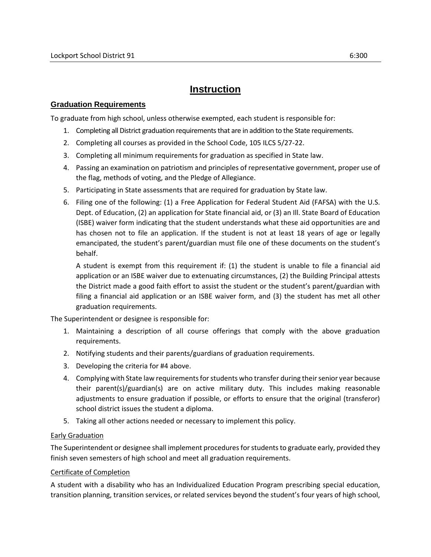# **Instruction**

## **Graduation Requirements**

To graduate from high school, unless otherwise exempted, each student is responsible for:

- 1. Completing all District graduation requirementsthat are in addition to the State requirements.
- 2. Completing all courses as provided in the School Code, 105 ILCS 5/27-22.
- 3. Completing all minimum requirements for graduation as specified in State law.
- 4. Passing an examination on patriotism and principles of representative government, proper use of the flag, methods of voting, and the Pledge of Allegiance.
- 5. Participating in State assessments that are required for graduation by State law.
- 6. Filing one of the following: (1) a Free Application for Federal Student Aid (FAFSA) with the U.S. Dept. of Education, (2) an application for State financial aid, or (3) an Ill. State Board of Education (ISBE) waiver form indicating that the student understands what these aid opportunities are and has chosen not to file an application. If the student is not at least 18 years of age or legally emancipated, the student's parent/guardian must file one of these documents on the student's behalf.

A student is exempt from this requirement if: (1) the student is unable to file a financial aid application or an ISBE waiver due to extenuating circumstances, (2) the Building Principal attests the District made a good faith effort to assist the student or the student's parent/guardian with filing a financial aid application or an ISBE waiver form, and (3) the student has met all other graduation requirements.

The Superintendent or designee is responsible for:

- 1. Maintaining a description of all course offerings that comply with the above graduation requirements.
- 2. Notifying students and their parents/guardians of graduation requirements.
- 3. Developing the criteria for #4 above.
- 4. Complying with State law requirements for students who transfer during their senior year because their parent(s)/guardian(s) are on active military duty. This includes making reasonable adjustments to ensure graduation if possible, or efforts to ensure that the original (transferor) school district issues the student a diploma.
- 5. Taking all other actions needed or necessary to implement this policy.

#### Early Graduation

The Superintendent or designee shall implement procedures for students to graduate early, provided they finish seven semesters of high school and meet all graduation requirements.

#### Certificate of Completion

A student with a disability who has an Individualized Education Program prescribing special education, transition planning, transition services, or related services beyond the student's four years of high school,